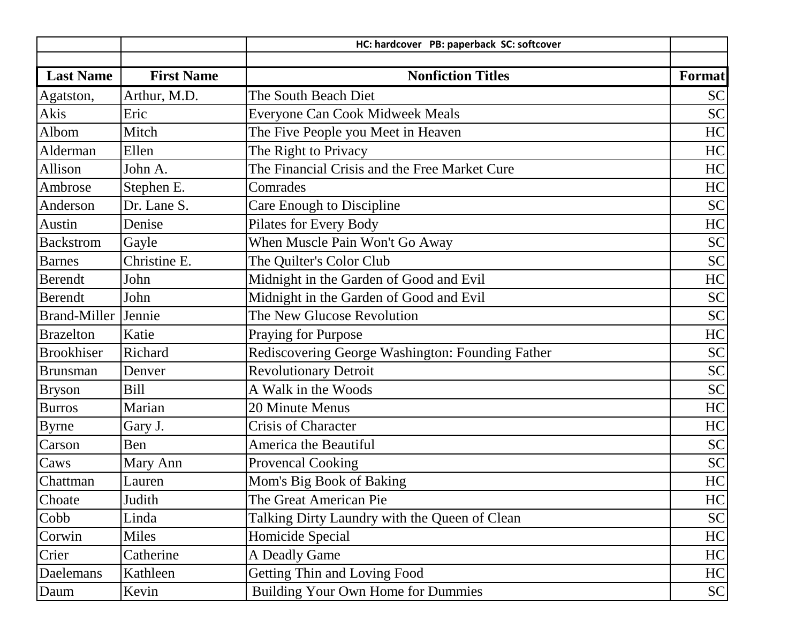|                     |                   | HC: hardcover PB: paperback SC: softcover        |           |
|---------------------|-------------------|--------------------------------------------------|-----------|
|                     |                   |                                                  |           |
| <b>Last Name</b>    | <b>First Name</b> | <b>Nonfiction Titles</b>                         | Format    |
| Agatston,           | Arthur, M.D.      | The South Beach Diet                             | <b>SC</b> |
| Akis                | Eric              | <b>Everyone Can Cook Midweek Meals</b>           | <b>SC</b> |
| Albom               | Mitch             | The Five People you Meet in Heaven               | HC        |
| Alderman            | Ellen             | The Right to Privacy                             | HC        |
| Allison             | John A.           | The Financial Crisis and the Free Market Cure    | HC        |
| Ambrose             | Stephen E.        | Comrades                                         | HC        |
| Anderson            | Dr. Lane S.       | Care Enough to Discipline                        | <b>SC</b> |
| Austin              | Denise            | Pilates for Every Body                           | HC        |
| <b>Backstrom</b>    | Gayle             | When Muscle Pain Won't Go Away                   | <b>SC</b> |
| <b>Barnes</b>       | Christine E.      | The Quilter's Color Club                         | <b>SC</b> |
| <b>Berendt</b>      | John              | Midnight in the Garden of Good and Evil          | HC        |
| <b>Berendt</b>      | John              | Midnight in the Garden of Good and Evil          | <b>SC</b> |
| <b>Brand-Miller</b> | Jennie            | The New Glucose Revolution                       | <b>SC</b> |
| <b>Brazelton</b>    | Katie             | <b>Praying for Purpose</b>                       | HC        |
| <b>Brookhiser</b>   | Richard           | Rediscovering George Washington: Founding Father | <b>SC</b> |
| <b>Brunsman</b>     | Denver            | <b>Revolutionary Detroit</b>                     | <b>SC</b> |
| <b>Bryson</b>       | <b>Bill</b>       | A Walk in the Woods                              | <b>SC</b> |
| <b>Burros</b>       | Marian            | 20 Minute Menus                                  | HC        |
| <b>Byrne</b>        | Gary J.           | <b>Crisis of Character</b>                       | HC        |
| Carson              | Ben               | America the Beautiful                            | <b>SC</b> |
| Caws                | Mary Ann          | <b>Provencal Cooking</b>                         | <b>SC</b> |
| Chattman            | Lauren            | Mom's Big Book of Baking                         | HC        |
| Choate              | Judith            | The Great American Pie                           | HC        |
| Cobb                | Linda             | Talking Dirty Laundry with the Queen of Clean    | <b>SC</b> |
| Corwin              | <b>Miles</b>      | Homicide Special                                 | HC        |
| Crier               | Catherine         | A Deadly Game                                    | HC        |
| Daelemans           | Kathleen          | Getting Thin and Loving Food                     | HC        |
| Daum                | Kevin             | <b>Building Your Own Home for Dummies</b>        | <b>SC</b> |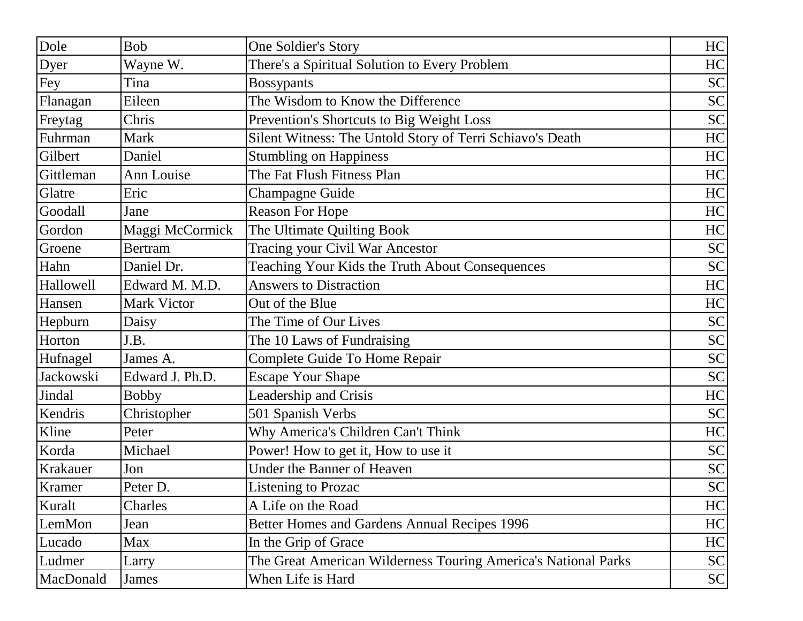| Dole             | <b>Bob</b>         | One Soldier's Story                                            | HC        |
|------------------|--------------------|----------------------------------------------------------------|-----------|
| Dyer             | Wayne W.           | There's a Spiritual Solution to Every Problem                  | HC        |
| Fey              | Tina               | <b>Bossypants</b>                                              | <b>SC</b> |
| Flanagan         | Eileen             | The Wisdom to Know the Difference                              | <b>SC</b> |
| Freytag          | Chris              | Prevention's Shortcuts to Big Weight Loss                      | <b>SC</b> |
| Fuhrman          | Mark               | Silent Witness: The Untold Story of Terri Schiavo's Death      | HC        |
| Gilbert          | Daniel             | <b>Stumbling on Happiness</b>                                  | HC        |
| Gittleman        | Ann Louise         | The Fat Flush Fitness Plan                                     | HC        |
| Glatre           | Eric               | <b>Champagne Guide</b>                                         | HC        |
| Goodall          | Jane               | <b>Reason For Hope</b>                                         | HC        |
| Gordon           | Maggi McCormick    | The Ultimate Quilting Book                                     | HC        |
| Groene           | <b>Bertram</b>     | Tracing your Civil War Ancestor                                | <b>SC</b> |
| Hahn             | Daniel Dr.         | Teaching Your Kids the Truth About Consequences                | <b>SC</b> |
| <b>Hallowell</b> | Edward M. M.D.     | <b>Answers to Distraction</b>                                  | HC        |
| Hansen           | <b>Mark Victor</b> | Out of the Blue                                                | HC        |
| Hepburn          | Daisy              | The Time of Our Lives                                          | <b>SC</b> |
| Horton           | J.B.               | The 10 Laws of Fundraising                                     | <b>SC</b> |
| Hufnagel         | James A.           | Complete Guide To Home Repair                                  | <b>SC</b> |
| Jackowski        | Edward J. Ph.D.    | <b>Escape Your Shape</b>                                       | <b>SC</b> |
| Jindal           | <b>Bobby</b>       | Leadership and Crisis                                          | HC        |
| Kendris          | Christopher        | 501 Spanish Verbs                                              | <b>SC</b> |
| Kline            | Peter              | Why America's Children Can't Think                             | HC        |
| Korda            | Michael            | Power! How to get it, How to use it                            | <b>SC</b> |
| Krakauer         | Jon                | <b>Under the Banner of Heaven</b>                              | SC        |
| Kramer           | Peter D.           | Listening to Prozac                                            | SC        |
| Kuralt           | Charles            | A Life on the Road                                             | HC        |
| LemMon           | Jean               | Better Homes and Gardens Annual Recipes 1996                   | HC        |
| Lucado           | Max                | In the Grip of Grace                                           | HC        |
| Ludmer           | Larry              | The Great American Wilderness Touring America's National Parks | SC        |
| MacDonald        | James              | When Life is Hard                                              | SC        |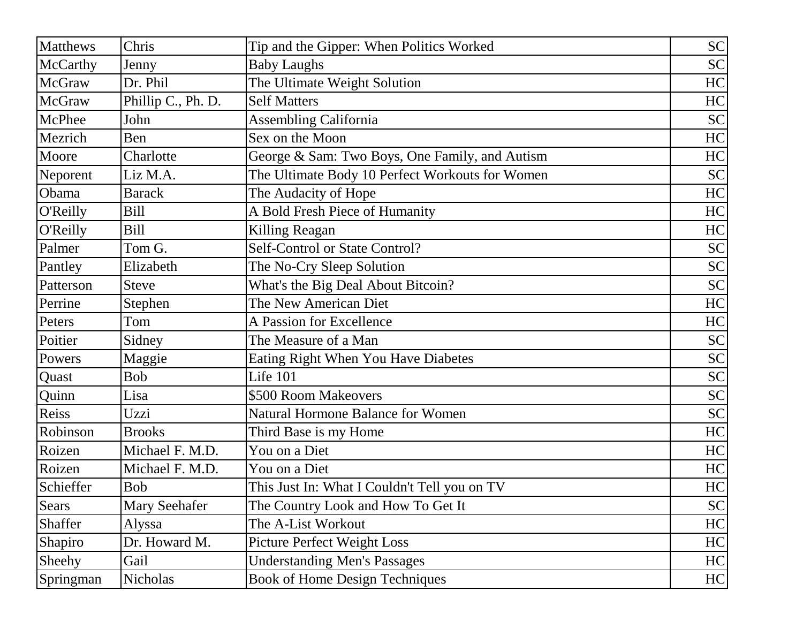| <b>Matthews</b> | Chris                | Tip and the Gipper: When Politics Worked        | SC        |
|-----------------|----------------------|-------------------------------------------------|-----------|
| McCarthy        | Jenny                | <b>Baby Laughs</b>                              | <b>SC</b> |
| <b>McGraw</b>   | Dr. Phil             | The Ultimate Weight Solution                    | HC        |
| <b>McGraw</b>   | Phillip C., Ph. D.   | <b>Self Matters</b>                             | HC        |
| McPhee          | John                 | <b>Assembling California</b>                    | <b>SC</b> |
| Mezrich         | Ben                  | Sex on the Moon                                 | HC        |
| Moore           | Charlotte            | George & Sam: Two Boys, One Family, and Autism  | HC        |
| Neporent        | Liz M.A.             | The Ultimate Body 10 Perfect Workouts for Women | <b>SC</b> |
| Obama           | <b>Barack</b>        | The Audacity of Hope                            | HC        |
| O'Reilly        | <b>Bill</b>          | A Bold Fresh Piece of Humanity                  | HC        |
| O'Reilly        | <b>Bill</b>          | Killing Reagan                                  | HC        |
| Palmer          | Tom G.               | Self-Control or State Control?                  | <b>SC</b> |
| Pantley         | Elizabeth            | The No-Cry Sleep Solution                       | <b>SC</b> |
| Patterson       | <b>Steve</b>         | What's the Big Deal About Bitcoin?              | <b>SC</b> |
| Perrine         | Stephen              | The New American Diet                           | HC        |
| Peters          | Tom                  | A Passion for Excellence                        | HC        |
| Poitier         | Sidney               | The Measure of a Man                            | <b>SC</b> |
| Powers          | Maggie               | <b>Eating Right When You Have Diabetes</b>      | <b>SC</b> |
| Quast           | <b>Bob</b>           | Life 101                                        | <b>SC</b> |
| Quinn           | Lisa                 | \$500 Room Makeovers                            | <b>SC</b> |
| Reiss           | Uzzi                 | <b>Natural Hormone Balance for Women</b>        | <b>SC</b> |
| Robinson        | <b>Brooks</b>        | Third Base is my Home                           | HC        |
| Roizen          | Michael F. M.D.      | You on a Diet                                   | HC        |
| Roizen          | Michael F. M.D.      | You on a Diet                                   | HC        |
| Schieffer       | <b>Bob</b>           | This Just In: What I Couldn't Tell you on TV    | HC        |
| Sears           | <b>Mary Seehafer</b> | The Country Look and How To Get It              | SC        |
| Shaffer         | Alyssa               | The A-List Workout                              | HC        |
| Shapiro         | Dr. Howard M.        | <b>Picture Perfect Weight Loss</b>              | HC        |
| Sheehy          | Gail                 | <b>Understanding Men's Passages</b>             | HC        |
| Springman       | Nicholas             | <b>Book of Home Design Techniques</b>           | HC        |